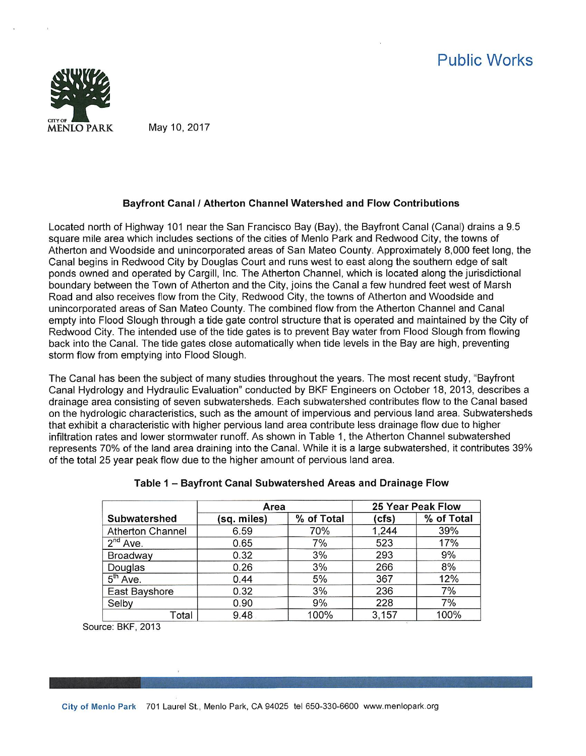

## Bayfront Canal I Atherton Channel Watershed and Flow Contributions

Located north of Highway 101 near the San Francisco Bay (Bay), the Bayfront Canal (Canal) drains a 9.5 square mile area which includes sections of the cities of Menio Park and Redwood City, the towns of Atherton and Woodside and unincorporated areas of San Mateo County. Approximately 8,000 feet long, the Canal begins in Redwood City by Douglas Court and runs west to east along the southern edge of salt ponds owned and operated by Cargill, Inc. The Atherton Channel, which is located along the jurisdictional boundary between the Town of Atherton and the City, joins the Canal a few hundred feet west of Marsh Road and also receives flow from the City, Redwood City, the towns of Atherton and Woodside and unincorporated areas of San Mateo County. The combined flow from the Atherton Channel and Canal empty into Flood Slough through a tide gate control structure that is operated and maintained by the City of Redwood City. The intended use of the tide gates is to prevent Bay water from Flood Slough from flowing back Into the Canal. The tide gates close automatically when tide levels in the Bay are high, preventing storm flow from emptying into Flood Slough.

The Canal has been the subject of many studies throughout the years. The most recent study, "Bayfront Canal Hydrology and Hydraulic Evaluation" conducted by BKF Engineers on October 18, 2013, describes a drainage area consisting of seven subwatersheds. Each subwatershed contributes flow to the Canal based on the hydrologic characteristics, such as the amount of impervious and pervious land area. Subwatersheds that exhibit a characteristic with higher pervious land area contribute less drainage flow due to higher infiltration rates and lower stormwater runoff. As shown in Table 1, the Atherton Channel subwatershed represents 70% of the land area draining into the Canal. While it is a large subwatershed, it contributes 39% of the total 25 year peak flow due to the higher amount of pervious land area.

|                         | Area        |            | 25 Year Peak Flow |            |  |  |
|-------------------------|-------------|------------|-------------------|------------|--|--|
| Subwatershed            | (sq. miles) | % of Total | (cfs)             | % of Total |  |  |
| <b>Atherton Channel</b> | 6.59        | 70%        | 1.244             | 39%        |  |  |
| $2nd$ Ave.              | 0.65        | 7%         | 523               | 17%        |  |  |
| Broadway                | 0.32        | 3%         | 293               | 9%         |  |  |
| Douglas                 | 0.26        | 3%         | 266               | 8%         |  |  |
| $5th$ Ave.              | 0.44        | 5%         | 367               | 12%        |  |  |
| East Bayshore           | 0.32        | 3%         | 236               | 7%         |  |  |
| Selby                   | 0.90        | 9%         | 228               | 7%         |  |  |
| Total                   | 9.48        | 100%       | 3.157             | 100%       |  |  |

## Table 1 - Bayfront Canal Subwatershed Areas and Drainage Flow

Source: BKF, 2013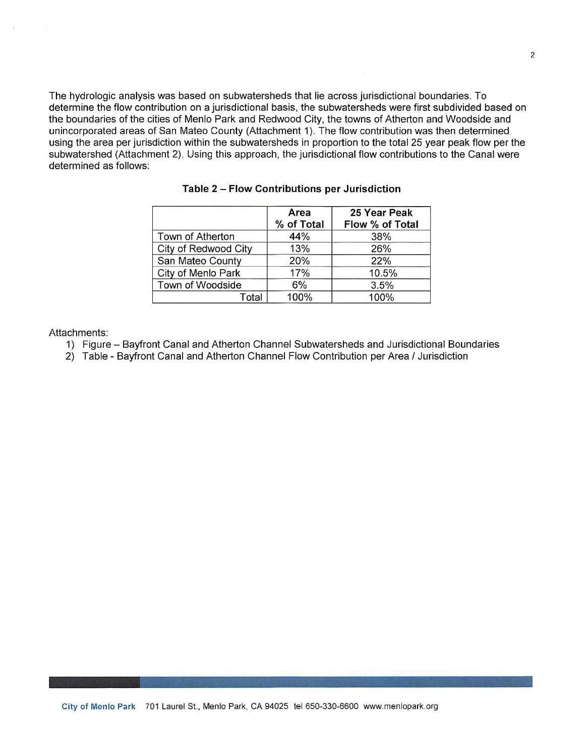The hydrologic analysis was based on subwatersheds that lie across jurisdictional boundaries. To determine the flow contribution on a jurisdictional basis, the subwatersheds were first subdivided based on the boundaries of the cities of Menlo Park and Redwood City, the towns of Atherton and Woodside and unincorporated areas of San Mateo County (Attachment 1). The flow contribution was then determined using the area per jurisdiction within the subwatersheds in proportion to the total 25 year peak flow per the subwatershed (Attachment 2). Using this approach, the jurisdictional flow contributions to the Canal were determined as follows:

|                      | Area<br>% of Total | 25 Year Peak<br>Flow % of Total |
|----------------------|--------------------|---------------------------------|
| Town of Atherton     | 44%                | 38%                             |
| City of Redwood City | 13%                | 26%                             |
| San Mateo County     | 20%                | 22%                             |
| City of Menlo Park   | 17%                | 10.5%                           |
| Town of Woodside     | 6%                 | 3.5%                            |
| Total                | 100%               | 100%                            |

Table 2 - Flow Contributions per Jurisdiction

Attachments:

- 1) Figure Bayfront Canal and Atherton Channel Subwatersheds and Jurisdictional Boundaries
- 2) Table Bayfront Canal and Atherton Channel Flow Contribution per Area / Jurisdiction